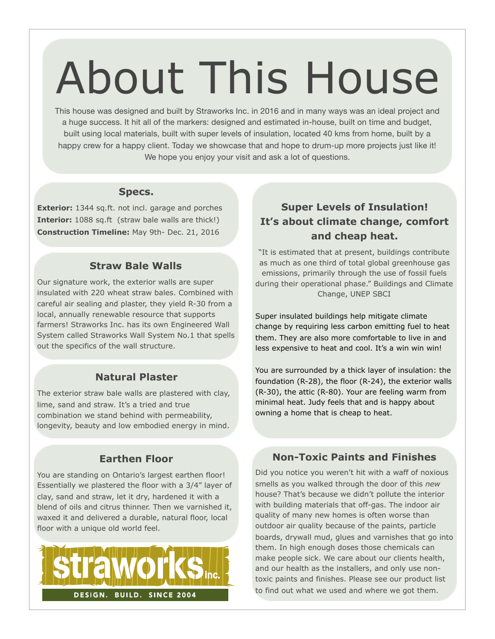# About This House

This house was designed and built by Straworks Inc. in 2016 and in many ways was an ideal project and a huge success. It hit all of the markers: designed and estimated in-house, built on time and budget, built using local materials, built with super levels of insulation, located 40 kms from home, built by a happy crew for a happy client. Today we showcase that and hope to drum-up more projects just like it! We hope you enjoy your visit and ask a lot of questions.

### **Specs.**

**Exterior:** 1344 sq.ft. not incl. garage and porches **Interior:** 1088 sq.ft (straw bale walls are thick!) **Construction Timeline:** May 9th- Dec. 21, 2016

# **Straw Bale Walls**

Our signature work, the exterior walls are super insulated with 220 wheat straw bales. Combined with careful air sealing and plaster, they yield R-30 from a local, annually renewable resource that supports farmers! Straworks Inc. has its own Engineered Wall System called Straworks Wall System No.1 that spells out the specifics of the wall structure.

### **Natural Plaster**

The exterior straw bale walls are plastered with clay, lime, sand and straw. It's a tried and true combination we stand behind with permeability, longevity, beauty and low embodied energy in mind.

# **Earthen Floor**

You are standing on Ontario's largest earthen floor! Essentially we plastered the floor with a 3/4" layer of clay, sand and straw, let it dry, hardened it with a blend of oils and citrus thinner. Then we varnished it, waxed it and delivered a durable, natural floor, local floor with a unique old world feel.



# **Super Levels of Insulation! It's about climate change, comfort and cheap heat.**

"It is estimated that at present, buildings contribute as much as one third of total global greenhouse gas emissions, primarily through the use of fossil fuels during their operational phase." Buildings and Climate Change, UNEP SBCI

Super insulated buildings help mitigate climate change by requiring less carbon emitting fuel to heat them. They are also more comfortable to live in and less expensive to heat and cool. It's a win win win!

You are surrounded by a thick layer of insulation: the foundation (R-28), the floor (R-24), the exterior walls (R-30), the attic (R-80). Your are feeling warm from minimal heat. Judy feels that and is happy about owning a home that is cheap to heat.

# **Non-Toxic Paints and Finishes**

Did you notice you weren't hit with a waff of noxious smells as you walked through the door of this *new* house? That's because we didn't pollute the interior with building materials that off-gas. The indoor air quality of many new homes is often worse than outdoor air quality because of the paints, particle boards, drywall mud, glues and varnishes that go into them. In high enough doses those chemicals can make people sick. We care about our clients health, and our health as the installers, and only use nontoxic paints and finishes. Please see our product list to find out what we used and where we got them.